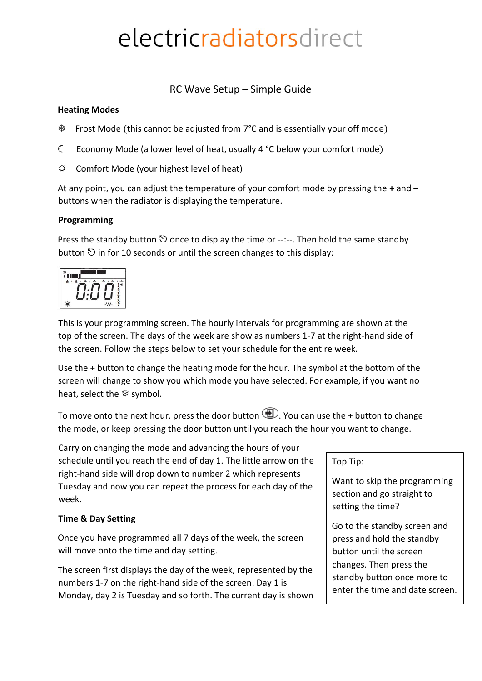# electricradiatorsdirect

RC Wave Setup – Simple Guide

#### **Heating Modes**

- Frost Mode (this cannot be adjusted from 7°C and is essentially your off mode)
- ☾ Economy Mode (a lower level of heat, usually 4 °C below your comfort mode)
- $\Leftrightarrow$  Comfort Mode (your highest level of heat)

At any point, you can adjust the temperature of your comfort mode by pressing the **+** and **–** buttons when the radiator is displaying the temperature.

## **Programming**

Press the standby button  $\heartsuit$  once to display the time or --:--. Then hold the same standby button  $\heartsuit$  in for 10 seconds or until the screen changes to this display:



This is your programming screen. The hourly intervals for programming are shown at the top of the screen. The days of the week are show as numbers 1-7 at the right-hand side of the screen. Follow the steps below to set your schedule for the entire week.

Use the + button to change the heating mode for the hour. The symbol at the bottom of the screen will change to show you which mode you have selected. For example, if you want no heat, select the  $*$  symbol.

To move onto the next hour, press the door button  $\bigoplus$ . You can use the + button to change the mode, or keep pressing the door button until you reach the hour you want to change.

Carry on changing the mode and advancing the hours of your schedule until you reach the end of day 1. The little arrow on the right-hand side will drop down to number 2 which represents Tuesday and now you can repeat the process for each day of the week.

## **Time & Day Setting**

Once you have programmed all 7 days of the week, the screen will move onto the time and day setting.

The screen first displays the day of the week, represented by the numbers 1-7 on the right-hand side of the screen. Day 1 is Monday, day 2 is Tuesday and so forth. The current day is shown Top Tip:

Want to skip the programming section and go straight to setting the time?

Go to the standby screen and press and hold the standby button until the screen changes. Then press the standby button once more to enter the time and date screen.